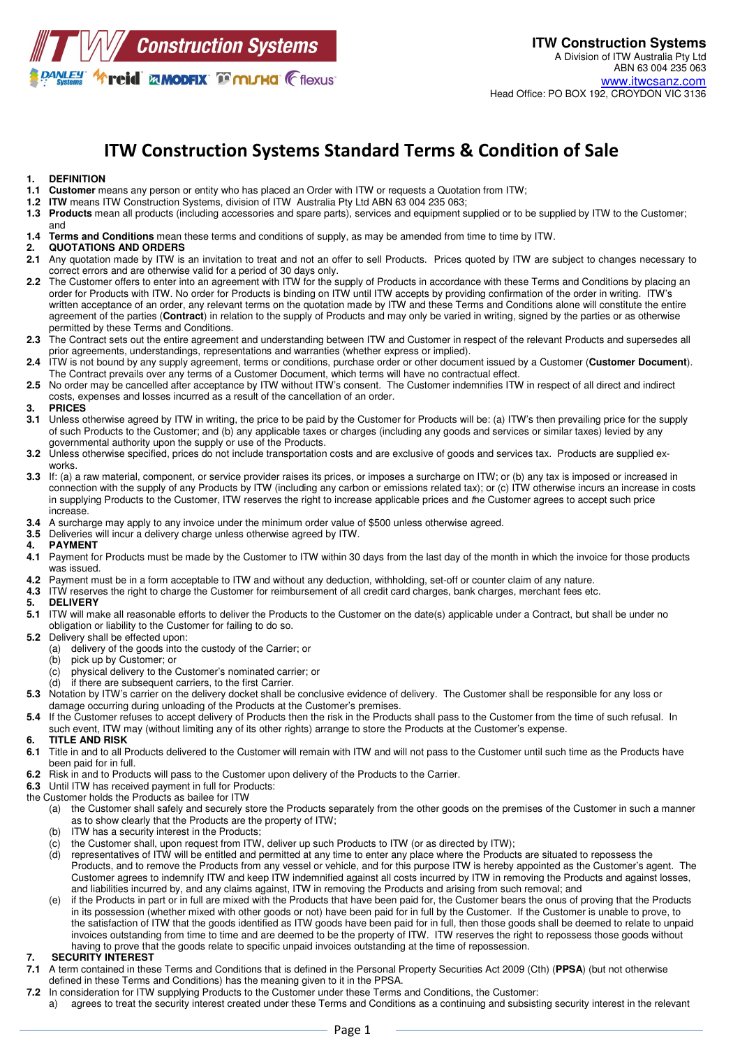

# ITW Construction Systems Standard Terms & Condition of Sale

# **1. DEFINITION**

- **1.1 Customer** means any person or entity who has placed an Order with ITW or requests a Quotation from ITW;
- **1.2 ITW** means ITW Construction Systems, division of ITW Australia Pty Ltd ABN 63 004 235 063;
- **1.3 Products** mean all products (including accessories and spare parts), services and equipment supplied or to be supplied by ITW to the Customer; and
- **1.4 Terms and Conditions** mean these terms and conditions of supply, as may be amended from time to time by ITW.

#### **2. QUOTATIONS AND ORDERS**

- **2.1** Any quotation made by ITW is an invitation to treat and not an offer to sell Products. Prices quoted by ITW are subject to changes necessary to correct errors and are otherwise valid for a period of 30 days only.
- 2.2 The Customer offers to enter into an agreement with ITW for the supply of Products in accordance with these Terms and Conditions by placing an order for Products with ITW. No order for Products is binding on ITW until ITW accepts by providing confirmation of the order in writing. ITW's written acceptance of an order, any relevant terms on the quotation made by ITW and these Terms and Conditions alone will constitute the entire agreement of the parties (**Contract**) in relation to the supply of Products and may only be varied in writing, signed by the parties or as otherwise permitted by these Terms and Conditions.
- **2.3** The Contract sets out the entire agreement and understanding between ITW and Customer in respect of the relevant Products and supersedes all prior agreements, understandings, representations and warranties (whether express or implied).
- **2.4** ITW is not bound by any supply agreement, terms or conditions, purchase order or other document issued by a Customer (**Customer Document**). The Contract prevails over any terms of a Customer Document, which terms will have no contractual effect.
- **2.5** No order may be cancelled after acceptance by ITW without ITW's consent. The Customer indemnifies ITW in respect of all direct and indirect costs, expenses and losses incurred as a result of the cancellation of an order.

#### **3. PRICES**

- **3.1** Unless otherwise agreed by ITW in writing, the price to be paid by the Customer for Products will be: (a) ITW's then prevailing price for the supply of such Products to the Customer; and (b) any applicable taxes or charges (including any goods and services or similar taxes) levied by any governmental authority upon the supply or use of the Products.
- **3.2** Unless otherwise specified, prices do not include transportation costs and are exclusive of goods and services tax. Products are supplied exworks.
- **3.3** If: (a) a raw material, component, or service provider raises its prices, or imposes a surcharge on ITW; or (b) any tax is imposed or increased in connection with the supply of any Products by ITW (including any carbon or emissions related tax); or (c) ITW otherwise incurs an increase in costs in supplying Products to the Customer, ITW reserves the right to increase applicable prices and the Customer agrees to accept such price increase.
- **3.4** A surcharge may apply to any invoice under the minimum order value of \$500 unless otherwise agreed.
- **3.5** Deliveries will incur a delivery charge unless otherwise agreed by ITW.

#### **4. PAYMENT**

- **4.1** Payment for Products must be made by the Customer to ITW within 30 days from the last day of the month in which the invoice for those products was issued.
- **4.2** Payment must be in a form acceptable to ITW and without any deduction, withholding, set-off or counter claim of any nature.
- **4.3** ITW reserves the right to charge the Customer for reimbursement of all credit card charges, bank charges, merchant fees etc.

#### **5. DELIVERY**

- **5.1** ITW will make all reasonable efforts to deliver the Products to the Customer on the date(s) applicable under a Contract, but shall be under no obligation or liability to the Customer for failing to do so.
- **5.2** Delivery shall be effected upon:
	- (a) delivery of the goods into the custody of the Carrier; or (b) pick up by Customer: or
	- pick up by Customer; or
	- (c) physical delivery to the Customer's nominated carrier; or
	- (d) if there are subsequent carriers, to the first Carrier.
- **5.3** Notation by ITW's carrier on the delivery docket shall be conclusive evidence of delivery. The Customer shall be responsible for any loss or damage occurring during unloading of the Products at the Customer's premises.
- **5.4** If the Customer refuses to accept delivery of Products then the risk in the Products shall pass to the Customer from the time of such refusal. In such event, ITW may (without limiting any of its other rights) arrange to store the Products at the Customer's expense.
- **6. TITLE AND RISK**
- **6.1** Title in and to all Products delivered to the Customer will remain with ITW and will not pass to the Customer until such time as the Products have been paid for in full.
- **6.2** Risk in and to Products will pass to the Customer upon delivery of the Products to the Carrier.
- **6.3** Until ITW has received payment in full for Products:
- the Customer holds the Products as bailee for ITW
	- (a) the Customer shall safely and securely store the Products separately from the other goods on the premises of the Customer in such a manner as to show clearly that the Products are the property of ITW;
	- (b) ITW has a security interest in the Products;
	- $(c)$  the Customer shall, upon request from ITW, deliver up such Products to ITW (or as directed by ITW);
	- (d) representatives of ITW will be entitled and permitted at any time to enter any place where the Products are situated to repossess the Products, and to remove the Products from any vessel or vehicle, and for this purpose ITW is hereby appointed as the Customer's agent. The Customer agrees to indemnify ITW and keep ITW indemnified against all costs incurred by ITW in removing the Products and against losses, and liabilities incurred by, and any claims against, ITW in removing the Products and arising from such removal; and
	- (e) if the Products in part or in full are mixed with the Products that have been paid for, the Customer bears the onus of proving that the Products in its possession (whether mixed with other goods or not) have been paid for in full by the Customer. If the Customer is unable to prove, to the satisfaction of ITW that the goods identified as ITW goods have been paid for in full, then those goods shall be deemed to relate to unpaid invoices outstanding from time to time and are deemed to be the property of ITW. ITW reserves the right to repossess those goods without having to prove that the goods relate to specific unpaid invoices outstanding at the time of repossession.

### **SECURITY INTEREST**

- **7.1** A term contained in these Terms and Conditions that is defined in the Personal Property Securities Act 2009 (Cth) (**PPSA**) (but not otherwise defined in these Terms and Conditions) has the meaning given to it in the PPSA.
- **7.2** In consideration for ITW supplying Products to the Customer under these Terms and Conditions, the Customer:
- a) agrees to treat the security interest created under these Terms and Conditions as a continuing and subsisting security interest in the relevant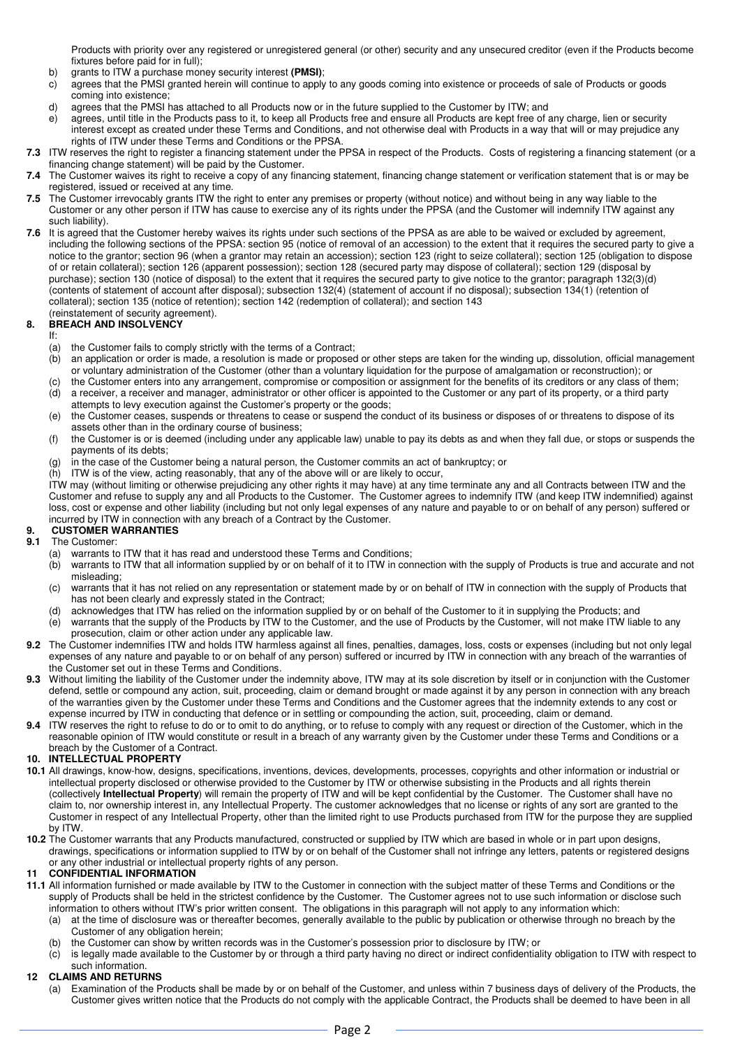Products with priority over any registered or unregistered general (or other) security and any unsecured creditor (even if the Products become fixtures before paid for in full);

- b) grants to ITW a purchase money security interest **(PMSI)**;
- c) agrees that the PMSI granted herein will continue to apply to any goods coming into existence or proceeds of sale of Products or goods coming into existence;
- d) agrees that the PMSI has attached to all Products now or in the future supplied to the Customer by ITW; and
- e) agrees, until title in the Products pass to it, to keep all Products free and ensure all Products are kept free of any charge, lien or security interest except as created under these Terms and Conditions, and not otherwise deal with Products in a way that will or may prejudice any rights of ITW under these Terms and Conditions or the PPSA.
- **7.3** ITW reserves the right to register a financing statement under the PPSA in respect of the Products. Costs of registering a financing statement (or a financing change statement) will be paid by the Customer.
- **7.4** The Customer waives its right to receive a copy of any financing statement, financing change statement or verification statement that is or may be registered, issued or received at any time.
- **7.5** The Customer irrevocably grants ITW the right to enter any premises or property (without notice) and without being in any way liable to the Customer or any other person if ITW has cause to exercise any of its rights under the PPSA (and the Customer will indemnify ITW against any such liability).
- **7.6** It is agreed that the Customer hereby waives its rights under such sections of the PPSA as are able to be waived or excluded by agreement, including the following sections of the PPSA: section 95 (notice of removal of an accession) to the extent that it requires the secured party to give a notice to the grantor; section 96 (when a grantor may retain an accession); section 123 (right to seize collateral); section 125 (obligation to dispose of or retain collateral); section 126 (apparent possession); section 128 (secured party may dispose of collateral); section 129 (disposal by purchase); section 130 (notice of disposal) to the extent that it requires the secured party to give notice to the grantor; paragraph 132(3)(d) (contents of statement of account after disposal); subsection 132(4) (statement of account if no disposal); subsection 134(1) (retention of collateral); section 135 (notice of retention); section 142 (redemption of collateral); and section 143 (reinstatement of security agreement).

## **8. BREACH AND INSOLVENCY**

If:

- (a) the Customer fails to comply strictly with the terms of a Contract;
- (b) an application or order is made, a resolution is made or proposed or other steps are taken for the winding up, dissolution, official management or voluntary administration of the Customer (other than a voluntary liquidation for the purpose of amalgamation or reconstruction); or
- (c) the Customer enters into any arrangement, compromise or composition or assignment for the benefits of its creditors or any class of them; (d) a receiver, a receiver and manager, administrator or other officer is appointed to the Customer or any part of its property, or a third party
- attempts to levy execution against the Customer's property or the goods; (e) the Customer ceases, suspends or threatens to cease or suspend the conduct of its business or disposes of or threatens to dispose of its assets other than in the ordinary course of business;
- (f) the Customer is or is deemed (including under any applicable law) unable to pay its debts as and when they fall due, or stops or suspends the payments of its debts;
- (g) in the case of the Customer being a natural person, the Customer commits an act of bankruptcy; or
- (h) ITW is of the view, acting reasonably, that any of the above will or are likely to occur,

ITW may (without limiting or otherwise prejudicing any other rights it may have) at any time terminate any and all Contracts between ITW and the Customer and refuse to supply any and all Products to the Customer. The Customer agrees to indemnify ITW (and keep ITW indemnified) against loss, cost or expense and other liability (including but not only legal expenses of any nature and payable to or on behalf of any person) suffered or incurred by ITW in connection with any breach of a Contract by the Customer.

# **9. CUSTOMER WARRANTIES**

### **9.1** The Customer:

- (a) warrants to ITW that it has read and understood these Terms and Conditions;
- (b) warrants to ITW that all information supplied by or on behalf of it to ITW in connection with the supply of Products is true and accurate and not misleading;
- (c) warrants that it has not relied on any representation or statement made by or on behalf of ITW in connection with the supply of Products that has not been clearly and expressly stated in the Contract;
- 
- (d) acknowledges that ITW has relied on the information supplied by or on behalf of the Customer to it in supplying the Products; and<br>(e) warrants that the supply of the Products by ITW to the Customer, and the use of Prod warrants that the supply of the Products by ITW to the Customer, and the use of Products by the Customer, will not make ITW liable to any prosecution, claim or other action under any applicable law.
- **9.2** The Customer indemnifies ITW and holds ITW harmless against all fines, penalties, damages, loss, costs or expenses (including but not only legal expenses of any nature and payable to or on behalf of any person) suffered or incurred by ITW in connection with any breach of the warranties of the Customer set out in these Terms and Conditions.
- **9.3** Without limiting the liability of the Customer under the indemnity above, ITW may at its sole discretion by itself or in conjunction with the Customer defend, settle or compound any action, suit, proceeding, claim or demand brought or made against it by any person in connection with any breach of the warranties given by the Customer under these Terms and Conditions and the Customer agrees that the indemnity extends to any cost or expense incurred by ITW in conducting that defence or in settling or compounding the action, suit, proceeding, claim or demand.
- **9.4** ITW reserves the right to refuse to do or to omit to do anything, or to refuse to comply with any request or direction of the Customer, which in the reasonable opinion of ITW would constitute or result in a breach of any warranty given by the Customer under these Terms and Conditions or a breach by the Customer of a Contract.

## **10. INTELLECTUAL PROPERTY**

- **10.1** All drawings, know-how, designs, specifications, inventions, devices, developments, processes, copyrights and other information or industrial or intellectual property disclosed or otherwise provided to the Customer by ITW or otherwise subsisting in the Products and all rights therein (collectively **Intellectual Property**) will remain the property of ITW and will be kept confidential by the Customer. The Customer shall have no claim to, nor ownership interest in, any Intellectual Property. The customer acknowledges that no license or rights of any sort are granted to the Customer in respect of any Intellectual Property, other than the limited right to use Products purchased from ITW for the purpose they are supplied by ITW.
- **10.2** The Customer warrants that any Products manufactured, constructed or supplied by ITW which are based in whole or in part upon designs, drawings, specifications or information supplied to ITW by or on behalf of the Customer shall not infringe any letters, patents or registered designs or any other industrial or intellectual property rights of any person.

# **CONFIDENTIAL INFORMATION**

- **11.1** All information furnished or made available by ITW to the Customer in connection with the subject matter of these Terms and Conditions or the supply of Products shall be held in the strictest confidence by the Customer. The Customer agrees not to use such information or disclose such information to others without ITW's prior written consent. The obligations in this paragraph will not apply to any information which:
	- (a) at the time of disclosure was or thereafter becomes, generally available to the public by publication or otherwise through no breach by the Customer of any obligation herein;
	- (b) the Customer can show by written records was in the Customer's possession prior to disclosure by ITW; or
	- $(c)$  is legally made available to the Customer by or through a third party having no direct or indirect confidentiality obligation to ITW with respect to such information.

### **12 CLAIMS AND RETURNS**

(a) Examination of the Products shall be made by or on behalf of the Customer, and unless within 7 business days of delivery of the Products, the Customer gives written notice that the Products do not comply with the applicable Contract, the Products shall be deemed to have been in all